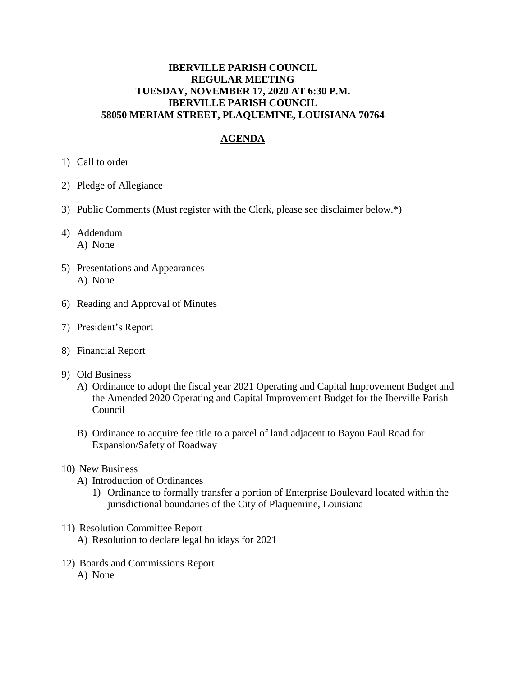## **IBERVILLE PARISH COUNCIL REGULAR MEETING TUESDAY, NOVEMBER 17, 2020 AT 6:30 P.M. IBERVILLE PARISH COUNCIL 58050 MERIAM STREET, PLAQUEMINE, LOUISIANA 70764**

## **AGENDA**

- 1) Call to order
- 2) Pledge of Allegiance
- 3) Public Comments (Must register with the Clerk, please see disclaimer below.\*)
- 4) Addendum A) None
- 5) Presentations and Appearances A) None
- 6) Reading and Approval of Minutes
- 7) President's Report
- 8) Financial Report
- 9) Old Business
	- A) Ordinance to adopt the fiscal year 2021 Operating and Capital Improvement Budget and the Amended 2020 Operating and Capital Improvement Budget for the Iberville Parish Council
	- B) Ordinance to acquire fee title to a parcel of land adjacent to Bayou Paul Road for Expansion/Safety of Roadway
- 10) New Business
	- A) Introduction of Ordinances
		- 1) Ordinance to formally transfer a portion of Enterprise Boulevard located within the jurisdictional boundaries of the City of Plaquemine, Louisiana
- 11) Resolution Committee Report
	- A) Resolution to declare legal holidays for 2021
- 12) Boards and Commissions Report A) None